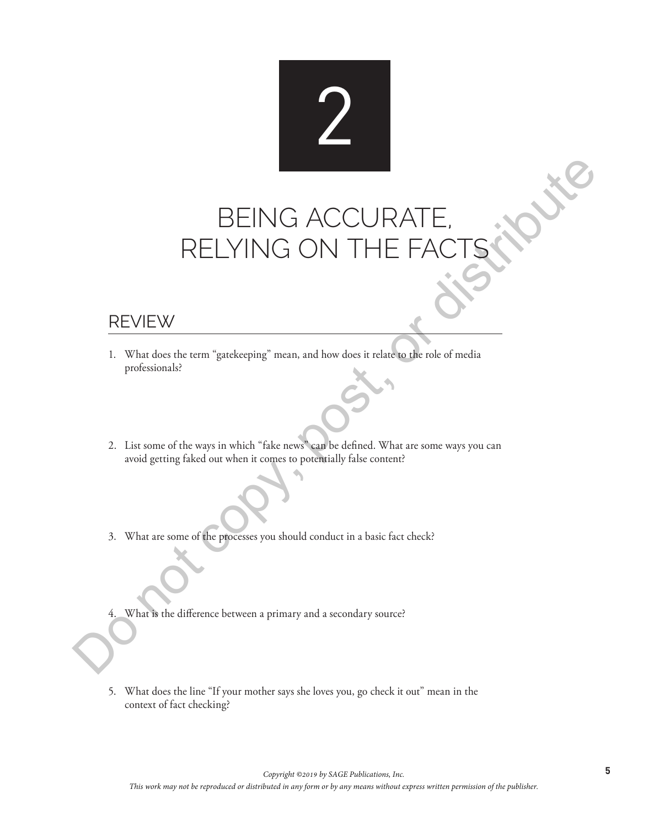## 2

# BEING ACCURATE, RELYING ON THE **THE REVING ON THE FACTS**

### REVIEW

- 1. What does the term "gatekeeping" mean, and how does it relate to the role of media professionals?
- 2. List some of the ways in which "fake news" can be defined. What are some ways you can avoid getting faked out when it comes to potentially false content?
- 3. What are some of the processes you should conduct in a basic fact check?
- 4. What is the difference between a primary and a secondary source?
- 5. What does the line "If your mother says she loves you, go check it out" mean in the context of fact checking?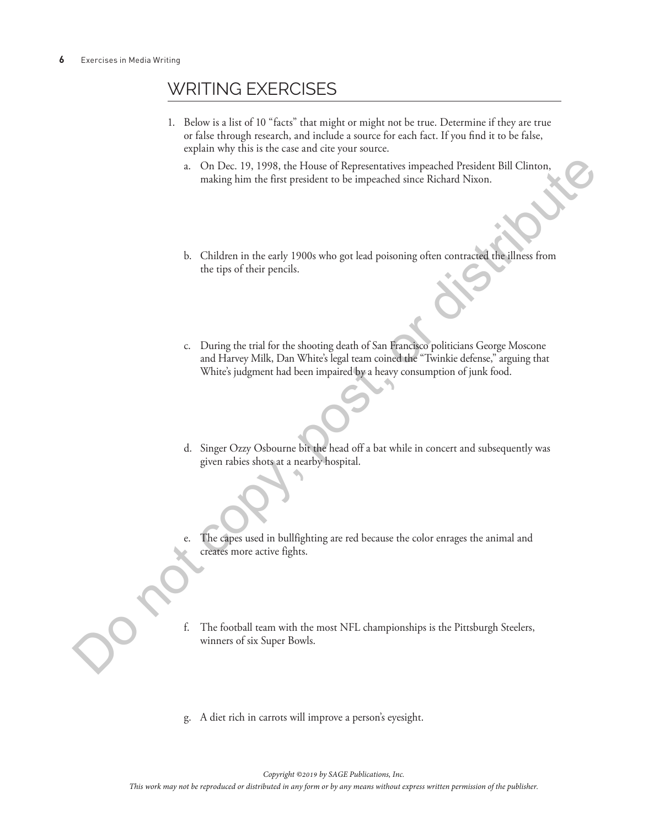## WRITING EXERCISES

- 1. Below is a list of 10 "facts" that might or might not be true. Determine if they are true or false through research, and include a source for each fact. If you find it to be false, explain why this is the case and cite your source.
	- a. On Dec. 19, 1998, the House of Representatives impeached President Bill Clinton, making him the first president to be impeached since Richard Nixon.
	- b. Children in the early 1900s who got lead poisoning often contracted the illness from the tips of their pencils.
- c. During the trial for the shooting death of San Francisco politicians George Moscone and Harvey Milk, Dan White's legal team coined the "Twinkie defense," arguing that White's judgment had been impaired by a heavy consumption of junk food. *This work may note that the reproduced or distributed interesting or bearing also any political state.*<br>
This work may not be reproduced in any political state of the publishers from the reproduced in the publisher. The
	- d. Singer Ozzy Osbourne bit the head off a bat while in concert and subsequently was given rabies shots at a nearby hospital.
	- e. The capes used in bullfighting are red because the color enrages the animal and creates more active fights.
	- f. The football team with the most NFL championships is the Pittsburgh Steelers, winners of six Super Bowls.
	- g. A diet rich in carrots will improve a person's eyesight.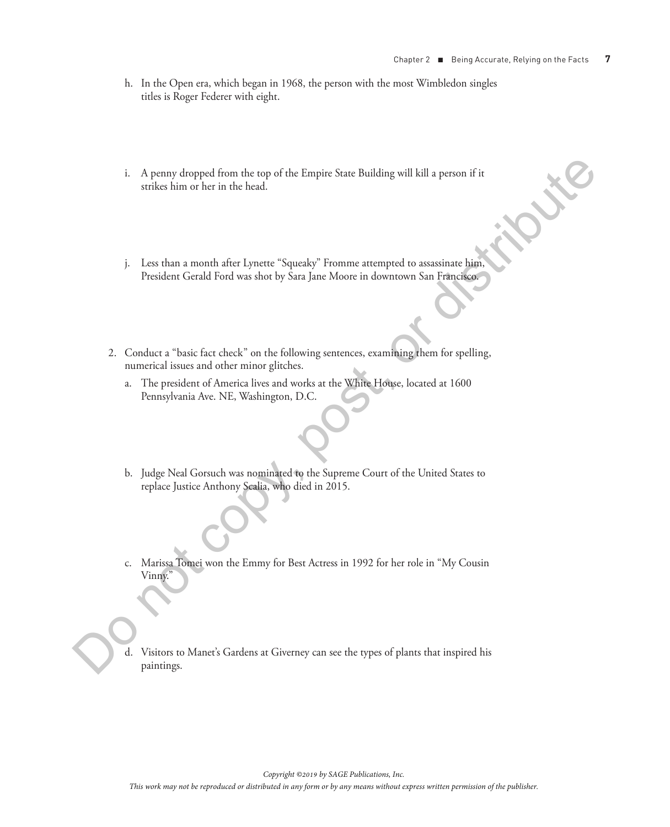- h. In the Open era, which began in 1968, the person with the most Wimbledon singles titles is Roger Federer with eight.
- i. A penny dropped from the top of the Empire State Building will kill a person if it strikes him or her in the head.
- j. Less than a month after Lynette "Squeaky" Fromme attempted to assassinate him, President Gerald Ford was shot by Sara Jane Moore in downtown San Francisco.
- 2. Conduct a "basic fact check" on the following sentences, examining them for spelling, numerical issues and other minor glitches. *This work may designed from the top of the Limpite State Bulkdrag will kill a person of its survive form or her rite below.*<br>
This within a meanth after Jyounte "Squeaky" From our any means was manipulated in any means we
	- a. The president of America lives and works at the White House, located at 1600 Pennsylvania Ave. NE, Washington, D.C.
	- b. Judge Neal Gorsuch was nominated to the Supreme Court of the United States to replace Justice Anthony Scalia, who died in 2015.
	- c. Marissa Tomei won the Emmy for Best Actress in 1992 for her role in "My Cousin Vinny.
	- Visitors to Manet's Gardens at Giverney can see the types of plants that inspired his paintings.